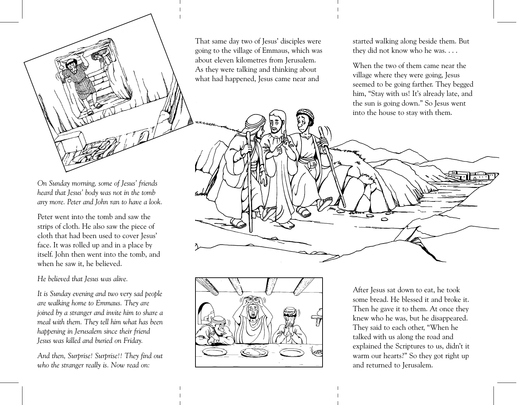That same day two of Jesus' disciples were going to the village of Emmaus, which was about eleven kilometres from Jerusalem. As they were talking and thinking about what had happened, Jesus came near and

started walking along beside them. But they did not know who he was....

When the two of them came near the village where they were going, Jesus seemed to be going farther. They begged him, "Stay with us! It's already late, and the sun is going down." So Jesus went into the house to stay with them.

On Sunday morning, some of Jesus' friends heard that Jesus' body was not in the tomb any more. Peter and John ran to have a look.

Peter went into the tomb and saw the strips of cloth. He also saw the piece of cloth that had been used to cover Jesus' face. It was rolled up and in a place by itself. John then went into the tomb, and when he saw it, he believed.

He believed that Jesus was alive.

It is Sunday evening and two very sad people are walking home to Emmaus. They are joined by a stranger and invite him to share a meal with them. They tell him what has been happening in Jerusalem since their friend Jesus was killed and buried on Friday.

And then, Surprise! Surprise!! They find out who the stranger really is. Now read on:



After Jesus sat down to eat, he took some bread. He blessed it and broke it. Then he gave it to them. At once they knew who he was, but he disappeared. They said to each other, "When he talked with us along the road and explained the Scriptures to us, didn't it warm our hearts?" So they got right up and returned to Jerusalem.